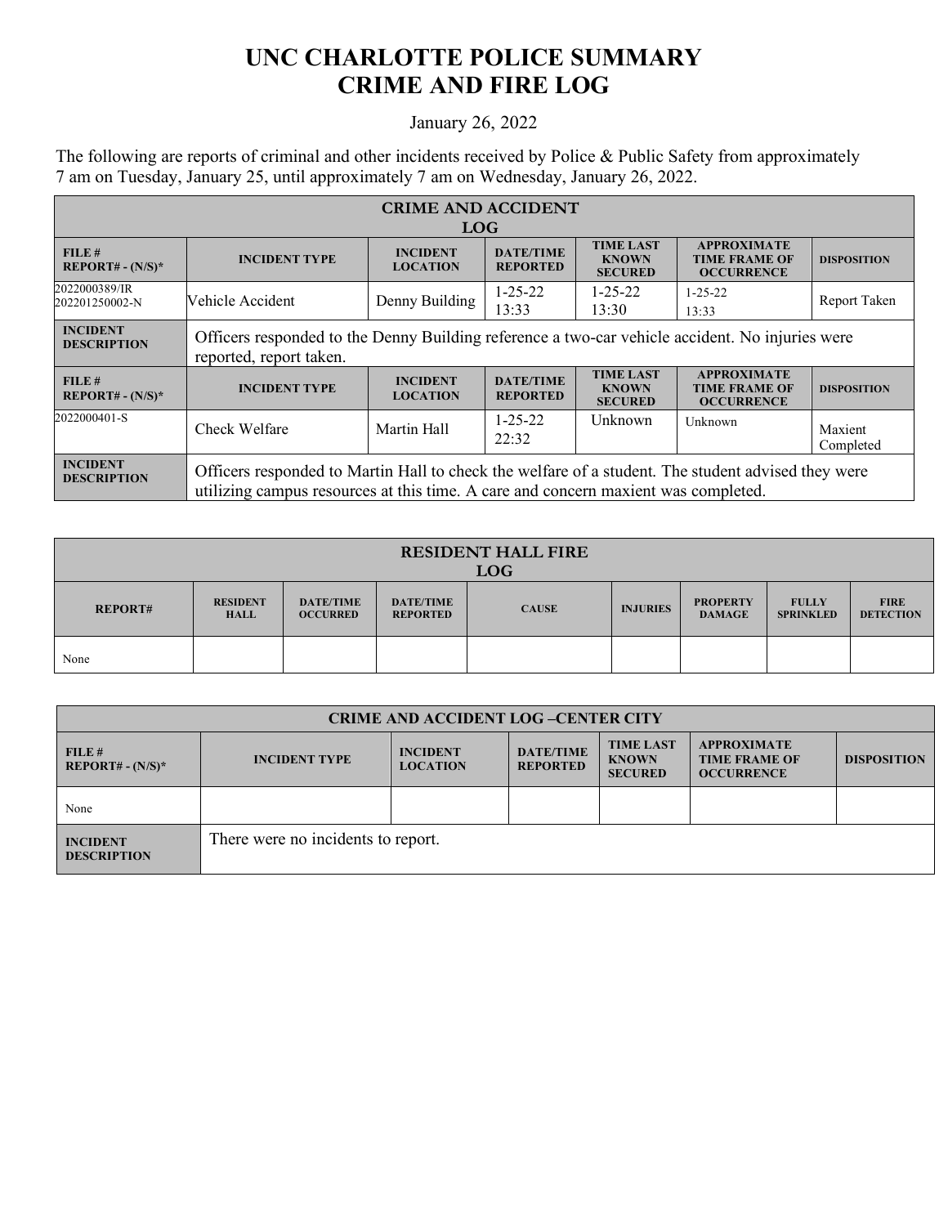## **UNC CHARLOTTE POLICE SUMMARY CRIME AND FIRE LOG**

## January 26, 2022

The following are reports of criminal and other incidents received by Police & Public Safety from approximately 7 am on Tuesday, January 25, until approximately 7 am on Wednesday, January 26, 2022.

| <b>CRIME AND ACCIDENT</b>             |                                                                                                                                                                                          |                                    |                                     |                                                    |                                                                 |                      |  |  |
|---------------------------------------|------------------------------------------------------------------------------------------------------------------------------------------------------------------------------------------|------------------------------------|-------------------------------------|----------------------------------------------------|-----------------------------------------------------------------|----------------------|--|--|
| <b>LOG</b>                            |                                                                                                                                                                                          |                                    |                                     |                                                    |                                                                 |                      |  |  |
| FILE#<br>$REPORT# - (N/S)*$           | <b>INCIDENT TYPE</b>                                                                                                                                                                     | <b>INCIDENT</b><br><b>LOCATION</b> | <b>DATE/TIME</b><br><b>REPORTED</b> | <b>TIME LAST</b><br><b>KNOWN</b><br><b>SECURED</b> | <b>APPROXIMATE</b><br><b>TIME FRAME OF</b><br><b>OCCURRENCE</b> | <b>DISPOSITION</b>   |  |  |
| 2022000389/IR<br>202201250002-N       | Vehicle Accident                                                                                                                                                                         | Denny Building                     | $1 - 25 - 22$<br>13:33              | $1 - 25 - 22$<br>13:30                             | $1 - 25 - 22$<br>13:33                                          | Report Taken         |  |  |
| <b>INCIDENT</b><br><b>DESCRIPTION</b> | Officers responded to the Denny Building reference a two-car vehicle accident. No injuries were<br>reported, report taken.                                                               |                                    |                                     |                                                    |                                                                 |                      |  |  |
| FILE#<br>$REPORT# - (N/S)*$           | <b>INCIDENT TYPE</b>                                                                                                                                                                     | <b>INCIDENT</b><br><b>LOCATION</b> | <b>DATE/TIME</b><br><b>REPORTED</b> | <b>TIME LAST</b><br><b>KNOWN</b><br><b>SECURED</b> | <b>APPROXIMATE</b><br><b>TIME FRAME OF</b><br><b>OCCURRENCE</b> | <b>DISPOSITION</b>   |  |  |
| 2022000401-S                          | Check Welfare                                                                                                                                                                            | Martin Hall                        | $1 - 25 - 22$<br>22:32              | Unknown                                            | Unknown                                                         | Maxient<br>Completed |  |  |
| <b>INCIDENT</b><br><b>DESCRIPTION</b> | Officers responded to Martin Hall to check the welfare of a student. The student advised they were<br>utilizing campus resources at this time. A care and concern maxient was completed. |                                    |                                     |                                                    |                                                                 |                      |  |  |

| <b>RESIDENT HALL FIRE</b><br><b>LOG</b> |                                |                                     |                                     |              |                 |                                  |                                  |                                 |
|-----------------------------------------|--------------------------------|-------------------------------------|-------------------------------------|--------------|-----------------|----------------------------------|----------------------------------|---------------------------------|
| <b>REPORT#</b>                          | <b>RESIDENT</b><br><b>HALL</b> | <b>DATE/TIME</b><br><b>OCCURRED</b> | <b>DATE/TIME</b><br><b>REPORTED</b> | <b>CAUSE</b> | <b>INJURIES</b> | <b>PROPERTY</b><br><b>DAMAGE</b> | <b>FULLY</b><br><b>SPRINKLED</b> | <b>FIRE</b><br><b>DETECTION</b> |
| None                                    |                                |                                     |                                     |              |                 |                                  |                                  |                                 |

| <b>CRIME AND ACCIDENT LOG-CENTER CITY</b> |                                    |                                    |                                     |                                                    |                                                                 |                    |
|-------------------------------------------|------------------------------------|------------------------------------|-------------------------------------|----------------------------------------------------|-----------------------------------------------------------------|--------------------|
| FILE#<br>$REPORT# - (N/S)*$               | <b>INCIDENT TYPE</b>               | <b>INCIDENT</b><br><b>LOCATION</b> | <b>DATE/TIME</b><br><b>REPORTED</b> | <b>TIME LAST</b><br><b>KNOWN</b><br><b>SECURED</b> | <b>APPROXIMATE</b><br><b>TIME FRAME OF</b><br><b>OCCURRENCE</b> | <b>DISPOSITION</b> |
| None                                      |                                    |                                    |                                     |                                                    |                                                                 |                    |
| <b>INCIDENT</b><br><b>DESCRIPTION</b>     | There were no incidents to report. |                                    |                                     |                                                    |                                                                 |                    |